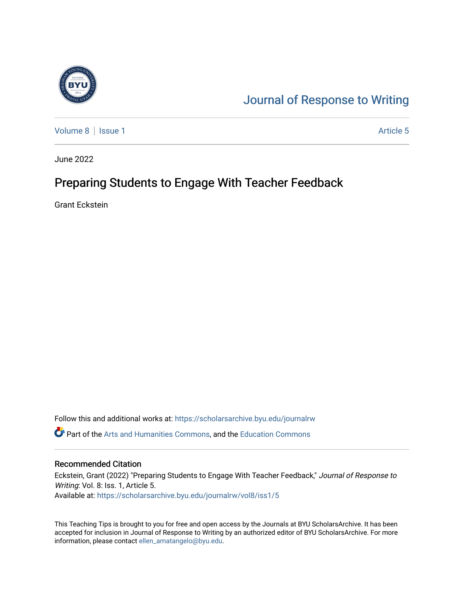

# [Journal of Response to Writing](https://scholarsarchive.byu.edu/journalrw)

[Volume 8](https://scholarsarchive.byu.edu/journalrw/vol8) | [Issue 1](https://scholarsarchive.byu.edu/journalrw/vol8/iss1) Article 5

June 2022

# Preparing Students to Engage With Teacher Feedback

Grant Eckstein

Follow this and additional works at: [https://scholarsarchive.byu.edu/journalrw](https://scholarsarchive.byu.edu/journalrw?utm_source=scholarsarchive.byu.edu%2Fjournalrw%2Fvol8%2Fiss1%2F5&utm_medium=PDF&utm_campaign=PDFCoverPages) Part of the [Arts and Humanities Commons,](https://network.bepress.com/hgg/discipline/438?utm_source=scholarsarchive.byu.edu%2Fjournalrw%2Fvol8%2Fiss1%2F5&utm_medium=PDF&utm_campaign=PDFCoverPages) and the [Education Commons](https://network.bepress.com/hgg/discipline/784?utm_source=scholarsarchive.byu.edu%2Fjournalrw%2Fvol8%2Fiss1%2F5&utm_medium=PDF&utm_campaign=PDFCoverPages) 

#### Recommended Citation

Eckstein, Grant (2022) "Preparing Students to Engage With Teacher Feedback," Journal of Response to Writing: Vol. 8: Iss. 1, Article 5. Available at: [https://scholarsarchive.byu.edu/journalrw/vol8/iss1/5](https://scholarsarchive.byu.edu/journalrw/vol8/iss1/5?utm_source=scholarsarchive.byu.edu%2Fjournalrw%2Fvol8%2Fiss1%2F5&utm_medium=PDF&utm_campaign=PDFCoverPages)

This Teaching Tips is brought to you for free and open access by the Journals at BYU ScholarsArchive. It has been accepted for inclusion in Journal of Response to Writing by an authorized editor of BYU ScholarsArchive. For more information, please contact [ellen\\_amatangelo@byu.edu.](mailto:ellen_amatangelo@byu.edu)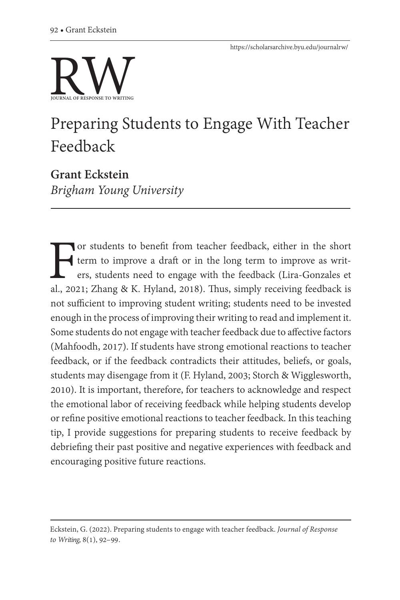

# Preparing Students to Engage With Teacher Feedback

**Grant Eckstein** *Brigham Young University*

For students to benefit from teacher feedback, either in the short term to improve a draft or in the long term to improve as writters, students need to engage with the feedback (Lira-Gonzales et al., 2021; Zhang & K. Hylan term to improve a draft or in the long term to improve as writers, students need to engage with the feedback (Lira-Gonzales et not sufficient to improving student writing; students need to be invested enough in the process of improving their writing to read and implement it. Some students do not engage with teacher feedback due to affective factors (Mahfoodh, 2017). If students have strong emotional reactions to teacher feedback, or if the feedback contradicts their attitudes, beliefs, or goals, students may disengage from it (F. Hyland, 2003; Storch & Wigglesworth, 2010). It is important, therefore, for teachers to acknowledge and respect the emotional labor of receiving feedback while helping students develop or refine positive emotional reactions to teacher feedback. In this teaching tip, I provide suggestions for preparing students to receive feedback by debriefing their past positive and negative experiences with feedback and encouraging positive future reactions.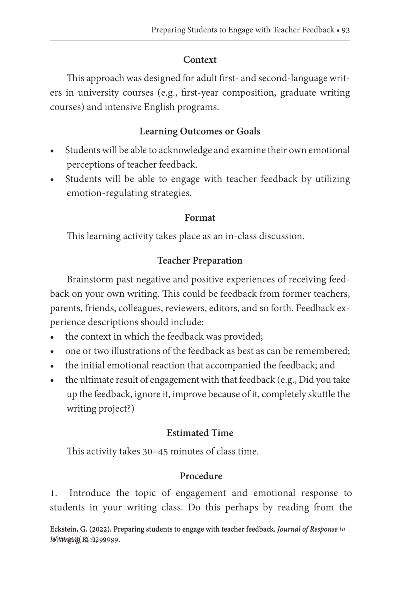#### **Context**

This approach was designed for adult first- and second-language writers in university courses (e.g., first-year composition, graduate writing courses) and intensive English programs.

## **Learning Outcomes or Goals**

- Students will be able to acknowledge and examine their own emotional perceptions of teacher feedback.
- Students will be able to engage with teacher feedback by utilizing emotion-regulating strategies.

#### **Format**

This learning activity takes place as an in-class discussion.

## **Teacher Preparation**

Brainstorm past negative and positive experiences of receiving feedback on your own writing. This could be feedback from former teachers, parents, friends, colleagues, reviewers, editors, and so forth. Feedback experience descriptions should include:

- the context in which the feedback was provided;
- one or two illustrations of the feedback as best as can be remembered;
- the initial emotional reaction that accompanied the feedback; and
- the ultimate result of engagement with that feedback (e.g., Did you take up the feedback, ignore it, improve because of it, completely skuttle the writing project?)

### **Estimated Time**

This activity takes 30–45 minutes of class time.

### **Procedure**

1. Introduce the topic of engagement and emotional response to students in your writing class. Do this perhaps by reading from the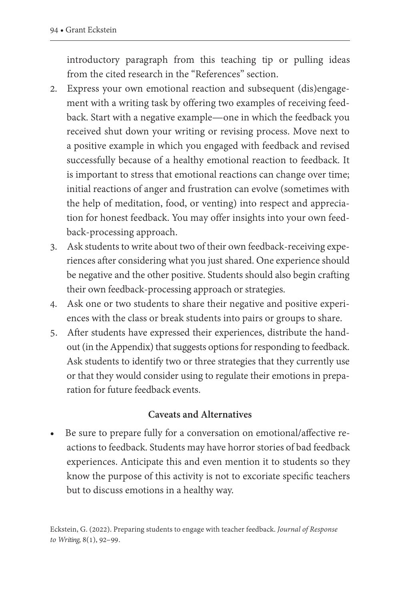introductory paragraph from this teaching tip or pulling ideas from the cited research in the "References" section.

- 2. Express your own emotional reaction and subsequent (dis)engagement with a writing task by offering two examples of receiving feedback. Start with a negative example—one in which the feedback you received shut down your writing or revising process. Move next to a positive example in which you engaged with feedback and revised successfully because of a healthy emotional reaction to feedback. It is important to stress that emotional reactions can change over time; initial reactions of anger and frustration can evolve (sometimes with the help of meditation, food, or venting) into respect and appreciation for honest feedback. You may offer insights into your own feedback-processing approach.
- 3. Ask students to write about two of their own feedback-receiving experiences after considering what you just shared. One experience should be negative and the other positive. Students should also begin crafting their own feedback-processing approach or strategies.
- 4. Ask one or two students to share their negative and positive experiences with the class or break students into pairs or groups to share.
- 5. After students have expressed their experiences, distribute the handout (in the Appendix) that suggests options for responding to feedback. Ask students to identify two or three strategies that they currently use or that they would consider using to regulate their emotions in preparation for future feedback events.

#### **Caveats and Alternatives**

• Be sure to prepare fully for a conversation on emotional/affective reactions to feedback. Students may have horror stories of bad feedback experiences. Anticipate this and even mention it to students so they know the purpose of this activity is not to excoriate specific teachers but to discuss emotions in a healthy way.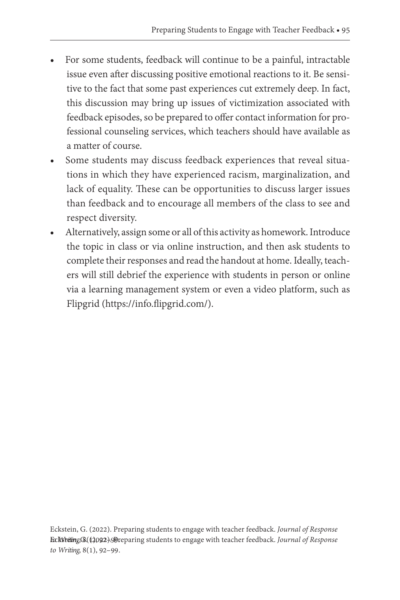- For some students, feedback will continue to be a painful, intractable issue even after discussing positive emotional reactions to it. Be sensitive to the fact that some past experiences cut extremely deep. In fact, this discussion may bring up issues of victimization associated with feedback episodes, so be prepared to offer contact information for professional counseling services, which teachers should have available as a matter of course.
- Some students may discuss feedback experiences that reveal situations in which they have experienced racism, marginalization, and lack of equality. These can be opportunities to discuss larger issues than feedback and to encourage all members of the class to see and respect diversity.
- Alternatively, assign some or all of this activity as homework. Introduce the topic in class or via online instruction, and then ask students to complete their responses and read the handout at home. Ideally, teachers will still debrief the experience with students in person or online via a learning management system or even a video platform, such as Flipgrid (https://info.flipgrid.com/).

Eckstein, G. (2022). Preparing students to engage with teacher feedback. *Journal of Response*  **Ecksteing,(8)((2092). Preparing students to engage with teacher feedback.** *Journal of Response to Writing*, 8(1), 92–99.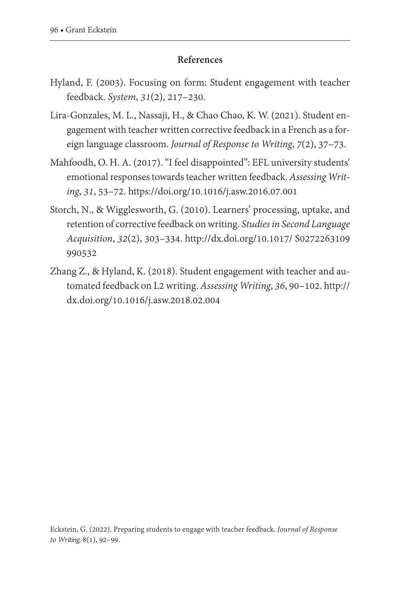#### **References**

- Hyland, F. (2003). Focusing on form: Student engagement with teacher feedback. *System*, *31*(2), 217–230.
- Lira-Gonzales, M. L., Nassaji, H., & Chao Chao, K. W. (2021). Student engagement with teacher written corrective feedback in a French as a foreign language classroom. *Journal of Response to Writing*, *7*(2), 37–73.
- Mahfoodh, O. H. A. (2017). "I feel disappointed": EFL university students' emotional responses towards teacher written feedback. *Assessing Writing*, *31*, 53–72.<https://doi.org/10.1016/j.asw.2016.07.001>
- Storch, N., & Wigglesworth, G. (2010). Learners' processing, uptake, and retention of corrective feedback on writing. *Studies in Second Language Acquisition*, *32*(2), 303–334. [http://dx.doi.org/10.1017/ S0272263109](http://dx.doi.org/10.1017/S0272263109990532) [990532](http://dx.doi.org/10.1017/S0272263109990532)
- Zhang Z., & Hyland, K. (2018). Student engagement with teacher and automated feedback on L2 writing. *Assessing Writing*, *36*, 90–102. [http://](http://dx.doi.org/10.1016/j.asw.2018.02.004) [dx.doi.org/10.1016/j.asw.2018.02.004](http://dx.doi.org/10.1016/j.asw.2018.02.004)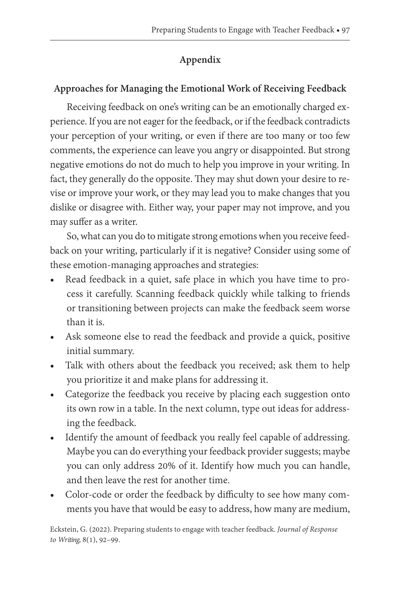# **Appendix**

# **Approaches for Managing the Emotional Work of Receiving Feedback**

Receiving feedback on one's writing can be an emotionally charged experience. If you are not eager for the feedback, or if the feedback contradicts your perception of your writing, or even if there are too many or too few comments, the experience can leave you angry or disappointed. But strong negative emotions do not do much to help you improve in your writing. In fact, they generally do the opposite. They may shut down your desire to revise or improve your work, or they may lead you to make changes that you dislike or disagree with. Either way, your paper may not improve, and you may suffer as a writer.

So, what can you do to mitigate strong emotions when you receive feedback on your writing, particularly if it is negative? Consider using some of these emotion-managing approaches and strategies:

- Read feedback in a quiet, safe place in which you have time to process it carefully. Scanning feedback quickly while talking to friends or transitioning between projects can make the feedback seem worse than it is.
- Ask someone else to read the feedback and provide a quick, positive initial summary.
- Talk with others about the feedback you received; ask them to help you prioritize it and make plans for addressing it.
- Categorize the feedback you receive by placing each suggestion onto its own row in a table. In the next column, type out ideas for addressing the feedback.
- Identify the amount of feedback you really feel capable of addressing. Maybe you can do everything your feedback provider suggests; maybe you can only address 20% of it. Identify how much you can handle, and then leave the rest for another time.
- Color-code or order the feedback by difficulty to see how many comments you have that would be easy to address, how many are medium,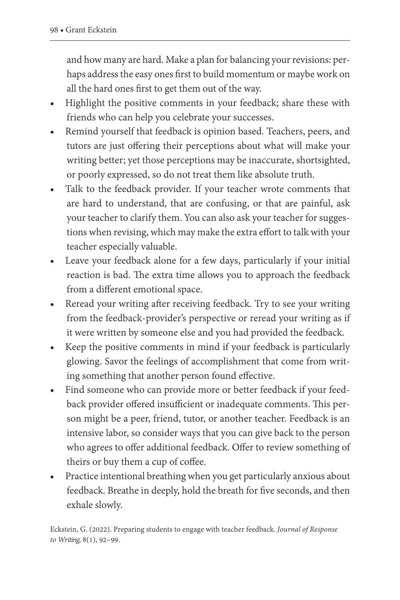and how many are hard. Make a plan for balancing your revisions: perhaps address the easy ones first to build momentum or maybe work on all the hard ones first to get them out of the way.

- Highlight the positive comments in your feedback; share these with friends who can help you celebrate your successes.
- Remind yourself that feedback is opinion based. Teachers, peers, and tutors are just offering their perceptions about what will make your writing better; yet those perceptions may be inaccurate, shortsighted, or poorly expressed, so do not treat them like absolute truth.
- Talk to the feedback provider. If your teacher wrote comments that are hard to understand, that are confusing, or that are painful, ask your teacher to clarify them. You can also ask your teacher for suggestions when revising, which may make the extra effort to talk with your teacher especially valuable.
- Leave your feedback alone for a few days, particularly if your initial reaction is bad. The extra time allows you to approach the feedback from a different emotional space.
- Reread your writing after receiving feedback. Try to see your writing from the feedback-provider's perspective or reread your writing as if it were written by someone else and you had provided the feedback.
- Keep the positive comments in mind if your feedback is particularly glowing. Savor the feelings of accomplishment that come from writing something that another person found effective.
- Find someone who can provide more or better feedback if your feedback provider offered insufficient or inadequate comments. This person might be a peer, friend, tutor, or another teacher. Feedback is an intensive labor, so consider ways that you can give back to the person who agrees to offer additional feedback. Offer to review something of theirs or buy them a cup of coffee.
- Practice intentional breathing when you get particularly anxious about feedback. Breathe in deeply, hold the breath for five seconds, and then exhale slowly.